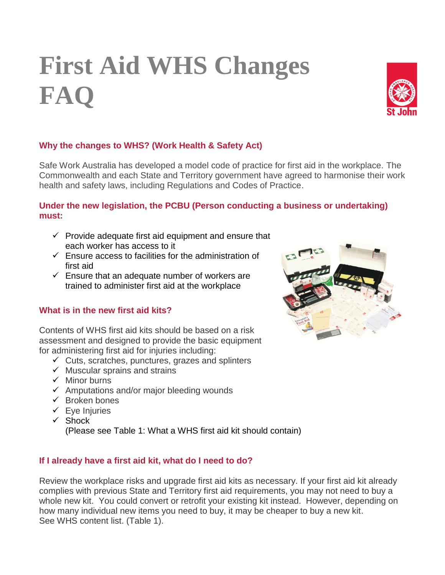# **First Aid WHS Changes FAQ**



# **Why the changes to WHS? (Work Health & Safety Act)**

Safe Work Australia has developed a model code of practice for first aid in the workplace. The Commonwealth and each State and Territory government have agreed to harmonise their work health and safety laws, including Regulations and Codes of Practice.

#### **Under the new legislation, the PCBU (Person conducting a business or undertaking) must:**

- $\checkmark$  Provide adequate first aid equipment and ensure that each worker has access to it
- $\checkmark$  Ensure access to facilities for the administration of first aid
- $\checkmark$  Ensure that an adequate number of workers are trained to administer first aid at the workplace

# **What is in the new first aid kits?**

Contents of WHS first aid kits should be based on a risk assessment and designed to provide the basic equipment for administering first aid for injuries including:

- $\checkmark$  Cuts, scratches, punctures, grazes and splinters
- $\checkmark$  Muscular sprains and strains
- $\checkmark$  Minor burns
- $\checkmark$  Amputations and/or major bleeding wounds
- $\checkmark$  Broken bones
- $\checkmark$  Eye Injuries
- $\checkmark$  Shock

(Please see Table 1: What a WHS first aid kit should contain)

# **If I already have a first aid kit, what do I need to do?**

Review the workplace risks and upgrade first aid kits as necessary. If your first aid kit already complies with previous State and Territory first aid requirements, you may not need to buy a whole new kit. You could convert or retrofit your existing kit instead. However, depending on how many individual new items you need to buy, it may be cheaper to buy a new kit. See WHS content list. (Table 1).

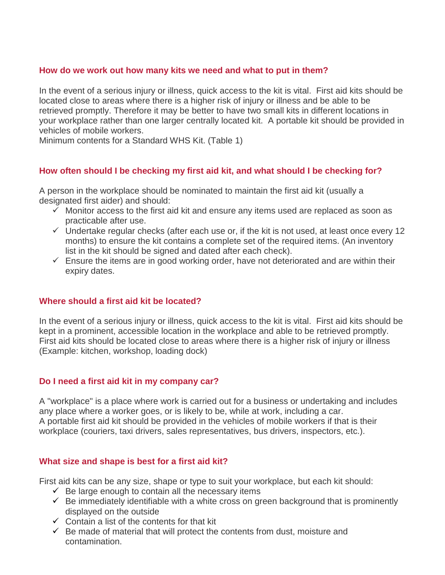#### **How do we work out how many kits we need and what to put in them?**

In the event of a serious injury or illness, quick access to the kit is vital. First aid kits should be located close to areas where there is a higher risk of injury or illness and be able to be retrieved promptly. Therefore it may be better to have two small kits in different locations in your workplace rather than one larger centrally located kit. A portable kit should be provided in vehicles of mobile workers.

Minimum contents for a Standard WHS Kit. (Table 1)

# **How often should I be checking my first aid kit, and what should I be checking for?**

A person in the workplace should be nominated to maintain the first aid kit (usually a designated first aider) and should:

- $\checkmark$  Monitor access to the first aid kit and ensure any items used are replaced as soon as practicable after use.
- $\checkmark$  Undertake regular checks (after each use or, if the kit is not used, at least once every 12 months) to ensure the kit contains a complete set of the required items. (An inventory list in the kit should be signed and dated after each check).
- $\checkmark$  Ensure the items are in good working order, have not deteriorated and are within their expiry dates.

#### **Where should a first aid kit be located?**

In the event of a serious injury or illness, quick access to the kit is vital. First aid kits should be kept in a prominent, accessible location in the workplace and able to be retrieved promptly. First aid kits should be located close to areas where there is a higher risk of injury or illness (Example: kitchen, workshop, loading dock)

#### **Do I need a first aid kit in my company car?**

A "workplace" is a place where work is carried out for a business or undertaking and includes any place where a worker goes, or is likely to be, while at work, including a car. A portable first aid kit should be provided in the vehicles of mobile workers if that is their workplace (couriers, taxi drivers, sales representatives, bus drivers, inspectors, etc.).

#### **What size and shape is best for a first aid kit?**

First aid kits can be any size, shape or type to suit your workplace, but each kit should:

- $\checkmark$  Be large enough to contain all the necessary items
- $\checkmark$  Be immediately identifiable with a white cross on green background that is prominently displayed on the outside
- $\checkmark$  Contain a list of the contents for that kit
- $\checkmark$  Be made of material that will protect the contents from dust, moisture and contamination.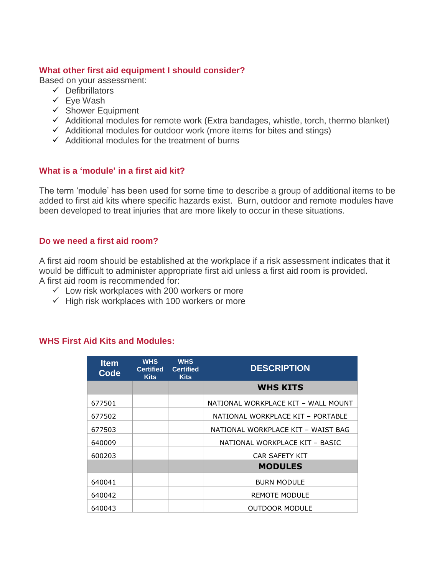#### **What other first aid equipment I should consider?**

Based on your assessment:

- $\checkmark$  Defibrillators
- $\checkmark$  Eve Wash
- $\checkmark$  Shower Equipment
- $\checkmark$  Additional modules for remote work (Extra bandages, whistle, torch, thermo blanket)
- $\checkmark$  Additional modules for outdoor work (more items for bites and stings)
- $\checkmark$  Additional modules for the treatment of burns

# **What is a 'module' in a first aid kit?**

The term 'module' has been used for some time to describe a group of additional items to be added to first aid kits where specific hazards exist. Burn, outdoor and remote modules have been developed to treat injuries that are more likely to occur in these situations.

#### **Do we need a first aid room?**

A first aid room should be established at the workplace if a risk assessment indicates that it would be difficult to administer appropriate first aid unless a first aid room is provided. A first aid room is recommended for:

- $\checkmark$  Low risk workplaces with 200 workers or more
- $\checkmark$  High risk workplaces with 100 workers or more

#### **WHS First Aid Kits and Modules:**

| <b>Item</b><br>Code | <b>WHS</b><br><b>Certified</b><br><b>Kits</b> | <b>WHS</b><br><b>Certified</b><br><b>Kits</b> | <b>DESCRIPTION</b>                  |
|---------------------|-----------------------------------------------|-----------------------------------------------|-------------------------------------|
|                     |                                               |                                               | <b>WHS KITS</b>                     |
| 677501              |                                               |                                               | NATIONAL WORKPLACE KIT - WALL MOUNT |
| 677502              |                                               |                                               | NATIONAL WORKPLACE KIT - PORTABLE   |
| 677503              |                                               |                                               | NATIONAL WORKPLACE KIT - WAIST BAG  |
| 640009              |                                               |                                               | NATIONAL WORKPLACE KIT - BASIC      |
| 600203              |                                               |                                               | CAR SAFETY KIT                      |
|                     |                                               |                                               | <b>MODULES</b>                      |
| 640041              |                                               |                                               | <b>BURN MODULE</b>                  |
| 640042              |                                               |                                               | REMOTE MODULE                       |
| 640043              |                                               |                                               | <b>OUTDOOR MODULE</b>               |